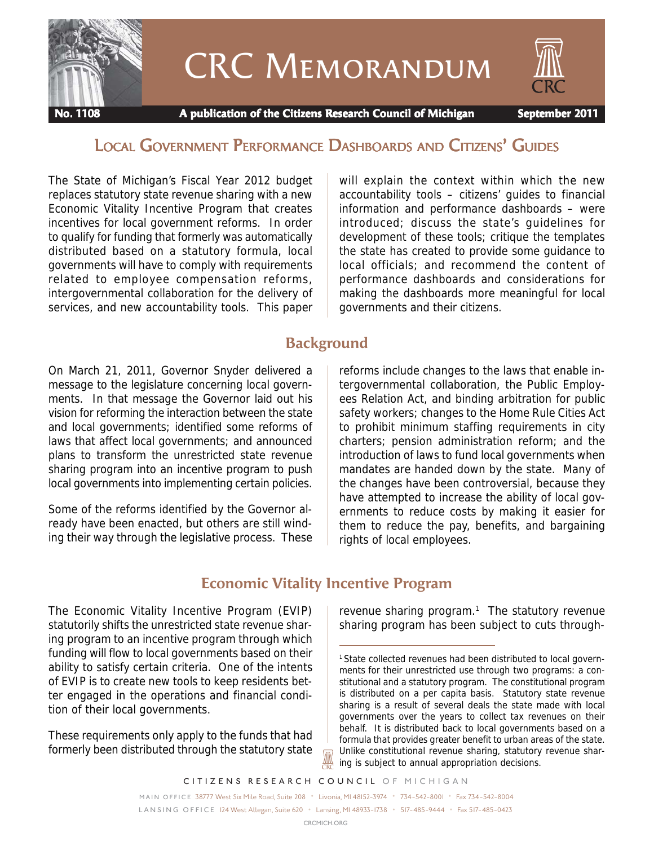

# CRC Memorandum

 **No. 1108 A publication of the Citizens Research Council of Michigan September 2011**

# LOCAL GOVERNMENT PERFORMANCE DASHBOARDS AND CITIZENS' GUIDES

The State of Michigan's Fiscal Year 2012 budget replaces statutory state revenue sharing with a new Economic Vitality Incentive Program that creates incentives for local government reforms. In order to qualify for funding that formerly was automatically distributed based on a statutory formula, local governments will have to comply with requirements related to employee compensation reforms, intergovernmental collaboration for the delivery of services, and new accountability tools. This paper will explain the context within which the new accountability tools – citizens' guides to financial information and performance dashboards – were introduced; discuss the state's guidelines for development of these tools; critique the templates the state has created to provide some guidance to local officials; and recommend the content of performance dashboards and considerations for making the dashboards more meaningful for local governments and their citizens.

# **Background**

On March 21, 2011, Governor Snyder delivered a message to the legislature concerning local governments. In that message the Governor laid out his vision for reforming the interaction between the state and local governments; identified some reforms of laws that affect local governments; and announced plans to transform the unrestricted state revenue sharing program into an incentive program to push local governments into implementing certain policies.

Some of the reforms identified by the Governor already have been enacted, but others are still winding their way through the legislative process. These reforms include changes to the laws that enable intergovernmental collaboration, the Public Employees Relation Act, and binding arbitration for public safety workers; changes to the Home Rule Cities Act to prohibit minimum staffing requirements in city charters; pension administration reform; and the introduction of laws to fund local governments when mandates are handed down by the state. Many of the changes have been controversial, because they have attempted to increase the ability of local governments to reduce costs by making it easier for them to reduce the pay, benefits, and bargaining rights of local employees.

# **Economic Vitality Incentive Program**

The Economic Vitality Incentive Program (EVIP) statutorily shifts the unrestricted state revenue sharing program to an incentive program through which funding will flow to local governments based on their ability to satisfy certain criteria. One of the intents of EVIP is to create new tools to keep residents better engaged in the operations and financial condition of their local governments.

These requirements only apply to the funds that had formerly been distributed through the statutory state

revenue sharing program.<sup>1</sup> The statutory revenue sharing program has been subject to cuts through-

*CITIZENS RESEARCH COUNCIL OF MICHIGAN* .

*MAIN OFFICE* 38777 West Six Mile Road, Suite 208 • Livonia, MI 48152-3974 • 734-542-8001 • Fax 734-542-8004 *L A N S I N G O F F I C E* 124 West Allegan, Suite 620 • Lansing, MI 48933-1738 • 517-485-9444 • Fax 517-485-0423

A

<sup>&</sup>lt;sup>1</sup> State collected revenues had been distributed to local governments for their unrestricted use through two programs: a constitutional and a statutory program. The constitutional program is distributed on a per capita basis. Statutory state revenue sharing is a result of several deals the state made with local governments over the years to collect tax revenues on their behalf. It is distributed back to local governments based on a formula that provides greater benefit to urban areas of the state. Unlike constitutional revenue sharing, statutory revenue sharing is subject to annual appropriation decisions.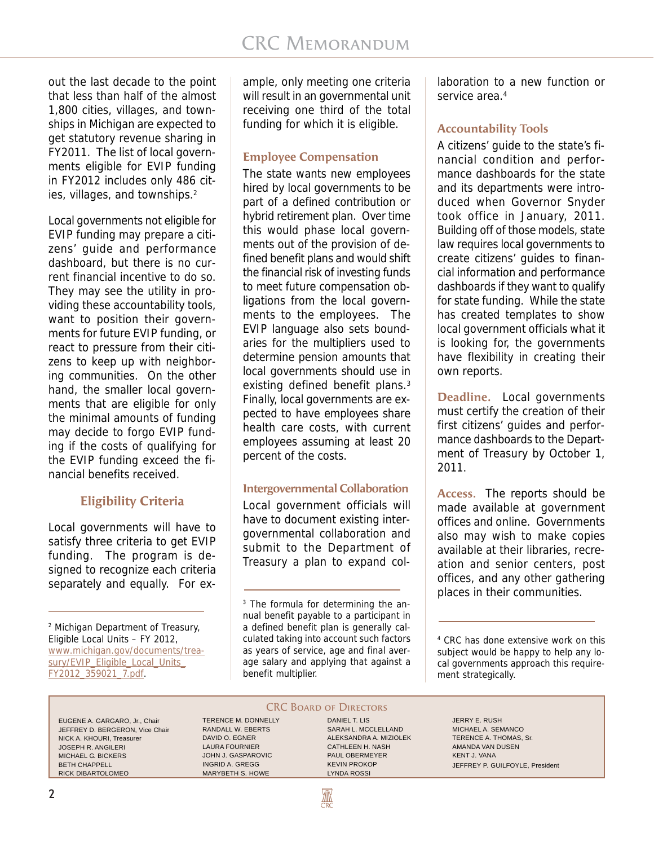out the last decade to the point that less than half of the almost 1,800 cities, villages, and townships in Michigan are expected to get statutory revenue sharing in FY2011. The list of local governments eligible for EVIP funding in FY2012 includes only 486 cities, villages, and townships.<sup>2</sup>

Local governments not eligible for EVIP funding may prepare a citizens' guide and performance dashboard, but there is no current financial incentive to do so. They may see the utility in providing these accountability tools, want to position their governments for future EVIP funding, or react to pressure from their citizens to keep up with neighboring communities. On the other hand, the smaller local governments that are eligible for only the minimal amounts of funding may decide to forgo EVIP funding if the costs of qualifying for the EVIP funding exceed the financial benefits received.

# **Eligibility Criteria**

Local governments will have to satisfy three criteria to get EVIP funding. The program is designed to recognize each criteria separately and equally. For ex-

2 Michigan Department of Treasury, Eligible Local Units – FY 2012, www.michigan.gov/documents/treasury/EVIP\_Eligible\_Local\_Units\_ FY2012\_359021\_7.pdf.

ample, only meeting one criteria will result in an governmental unit receiving one third of the total funding for which it is eligible.

#### **Employee Compensation**

The state wants new employees hired by local governments to be part of a defined contribution or hybrid retirement plan. Over time this would phase local governments out of the provision of defined benefit plans and would shift the financial risk of investing funds to meet future compensation obligations from the local governments to the employees. The EVIP language also sets boundaries for the multipliers used to determine pension amounts that local governments should use in existing defined benefit plans.<sup>3</sup> Finally, local governments are expected to have employees share health care costs, with current employees assuming at least 20 percent of the costs.

#### **Intergovernmental Collaboration**

Local government officials will have to document existing intergovernmental collaboration and submit to the Department of Treasury a plan to expand col-

₩

laboration to a new function or service area.<sup>4</sup>

#### **Accountability Tools**

A citizens' guide to the state's financial condition and performance dashboards for the state and its departments were introduced when Governor Snyder took office in January, 2011. Building off of those models, state law requires local governments to create citizens' guides to financial information and performance dashboards if they want to qualify for state funding. While the state has created templates to show local government officials what it is looking for, the governments have flexibility in creating their own reports.

**Deadline.** Local governments must certify the creation of their first citizens' guides and performance dashboards to the Department of Treasury by October 1, 2011.

**Access.** The reports should be made available at government offices and online. Governments also may wish to make copies available at their libraries, recreation and senior centers, post offices, and any other gathering places in their communities.

EUGENE A. GARGARO, Jr., Chair JEFFREY D. BERGERON, Vice Chair NICK A. KHOURI, Treasurer JOSEPH R. ANGILERI MICHAEL G. BICKERS BETH CHAPPELL RICK DIBARTOLOMEO

CRC BOARD OF DIRECTORS TERENCE M. DONNELLY RANDALL W. EBERTS DAVID O. EGNER LAURA FOURNIER JOHN J. GASPAROVIC INGRID A. GREGG MARYBETH S. HOWE

DANIEL T. LIS SARAH L. MCCLELLAND ALEKSANDRA A. MIZIOLEK CATHLEEN H. NASH PAUL OBERMEYER KEVIN PROKOP LYNDA ROSSI

JERRY E. RUSH MICHAEL A. SEMANCO TERENCE A. THOMAS, Sr. AMANDA VAN DUSEN KENT J. VANA JEFFREY P. GUILFOYLE, President

<sup>&</sup>lt;sup>3</sup> The formula for determining the annual benefit payable to a participant in a defined benefit plan is generally calculated taking into account such factors as years of service, age and final average salary and applying that against a benefit multiplier.

<sup>4</sup> CRC has done extensive work on this subject would be happy to help any local governments approach this requirement strategically.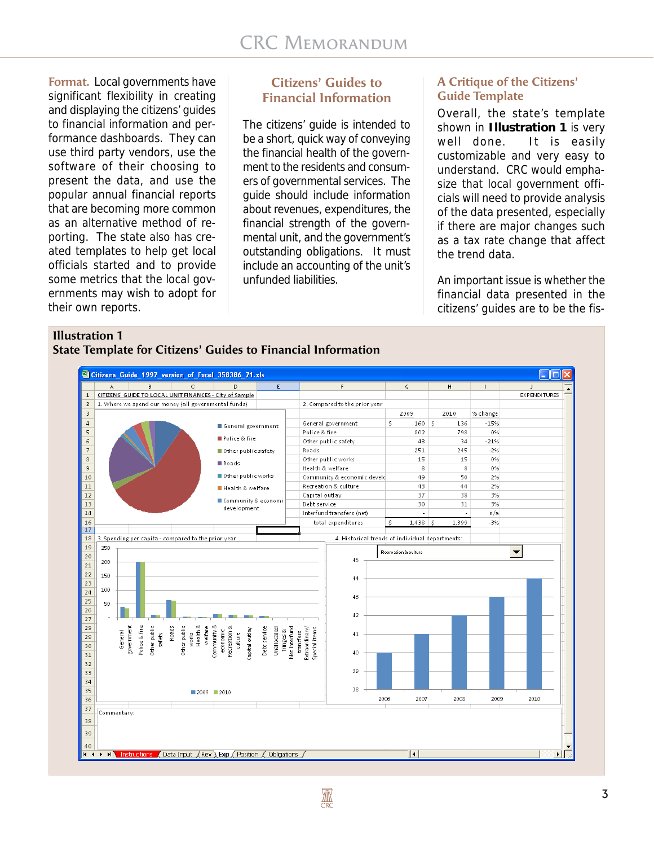**Format.** Local governments have significant flexibility in creating and displaying the citizens' guides to financial information and performance dashboards. They can use third party vendors, use the software of their choosing to present the data, and use the popular annual financial reports that are becoming more common as an alternative method of reporting. The state also has created templates to help get local officials started and to provide some metrics that the local governments may wish to adopt for their own reports.

#### **Citizens' Guides to Financial Information**

The citizens' guide is intended to be a short, quick way of conveying the financial health of the government to the residents and consumers of governmental services. The guide should include information about revenues, expenditures, the financial strength of the governmental unit, and the government's outstanding obligations. It must include an accounting of the unit's unfunded liabilities.

#### **A Critique of the Citizens' Guide Template**

Overall, the state's template shown in **Illustration 1** is very well done. It is easily customizable and very easy to understand. CRC would emphasize that local government officials will need to provide analysis of the data presented, especially if there are major changes such as a tax rate change that affect the trend data.

An important issue is whether the financial data presented in the citizens' guides are to be the fis-

#### **Illustration 1**

**State Template for Citizens' Guides to Financial Information**

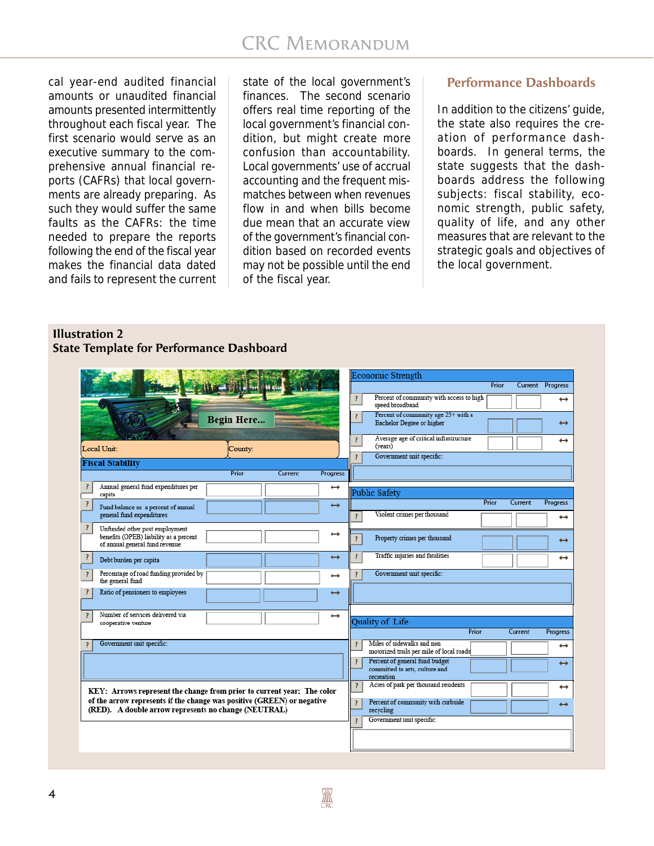cal year-end audited financial amounts or unaudited financial amounts presented intermittently throughout each fiscal year. The first scenario would serve as an executive summary to the comprehensive annual financial reports (CAFRs) that local governments are already preparing. As such they would suffer the same faults as the CAFRs: the time needed to prepare the reports following the end of the fiscal year makes the financial data dated and fails to represent the current

state of the local government's finances. The second scenario offers real time reporting of the local government's financial condition, but might create more confusion than accountability. Local governments' use of accrual accounting and the frequent mismatches between when revenues flow in and when bills become due mean that an accurate view of the government's financial condition based on recorded events may not be possible until the end of the fiscal year.

# **Performance Dashboards**

In addition to the citizens' guide, the state also requires the creation of performance dashboards. In general terms, the state suggests that the dashboards address the following subjects: fiscal stability, economic strength, public safety, quality of life, and any other measures that are relevant to the strategic goals and objectives of the local government.

# **Illustration 2**



|                                                                                                                                |                  |                   |                                                       | Economic Strength                                                              |       |         |                   |
|--------------------------------------------------------------------------------------------------------------------------------|------------------|-------------------|-------------------------------------------------------|--------------------------------------------------------------------------------|-------|---------|-------------------|
|                                                                                                                                |                  |                   |                                                       |                                                                                | Prior |         | Current Progress  |
|                                                                                                                                |                  |                   | ?                                                     | Percent of community with access to high<br>speed broadband                    |       |         | $\leftrightarrow$ |
|                                                                                                                                | Begin Here       |                   | $\overline{\mathcal{L}}$                              | Percent of community age 25+ with a<br>Bachelor Degree or higher               |       |         | $\leftrightarrow$ |
| Local Unit:                                                                                                                    | County:          |                   | $\overline{\mathbf{r}}$                               | Average age of critical infrastructure<br>(vears)                              |       |         | $\leftrightarrow$ |
| <b>Fiscal Stability</b>                                                                                                        |                  |                   | Government unit specific:<br>$\overline{\phantom{a}}$ |                                                                                |       |         |                   |
|                                                                                                                                | Prior<br>Current | Progress          |                                                       |                                                                                |       |         |                   |
| Annual general fund expenditures per<br>capita                                                                                 |                  | $\leftrightarrow$ |                                                       | <b>Public Safety</b>                                                           |       |         |                   |
| Fund balance as a percent of annual                                                                                            |                  | $\leftrightarrow$ |                                                       |                                                                                | Prior | Current | Progress          |
| general fund expenditures                                                                                                      |                  |                   |                                                       | Violent crimes per thousand                                                    |       |         | $\leftrightarrow$ |
| ?<br>Unfunded other post employment<br>benefits (OPEB) liability as a percent<br>of annual general fund revenue                |                  | $\leftrightarrow$ | ?                                                     | Property crimes per thousand                                                   |       |         | $\leftrightarrow$ |
| Debt burden per capita                                                                                                         |                  | $\leftrightarrow$ | $\overline{\mathbf{r}}$                               | Traffic injuries and fatalities                                                |       |         | $\leftrightarrow$ |
| Percentage of road funding provided by<br>the general fund                                                                     |                  | $\leftrightarrow$ |                                                       | Government unit specific:                                                      |       |         |                   |
| Ratio of pensioners to employees                                                                                               |                  | $\leftrightarrow$ |                                                       |                                                                                |       |         |                   |
| Number of services delivered via<br>cooperative venture                                                                        |                  | $\leftrightarrow$ |                                                       | Quality of Life                                                                |       |         |                   |
|                                                                                                                                |                  |                   |                                                       |                                                                                | Prior | Current | <b>Progress</b>   |
| Government unit specific:                                                                                                      |                  |                   |                                                       | Miles of sidewalks and non<br>motorized trails per mile of local roads         |       |         | $\leftrightarrow$ |
|                                                                                                                                |                  |                   | $\overline{\mathbf{?}}$                               | Percent of general fund budget<br>committed to arts, culture and<br>recreation |       |         | $\leftrightarrow$ |
| KEY: Arrows represent the change from prior to current year; The color                                                         |                  |                   | $\overline{?}$                                        | Acres of park per thousand residents                                           |       |         | $\leftrightarrow$ |
| of the arrow represents if the change was positive (GREEN) or negative<br>(RED). A double arrow represents no change (NEUTRAL) |                  |                   |                                                       | Percent of community with curbside<br>recycling                                |       |         | $\leftrightarrow$ |
|                                                                                                                                |                  |                   | $\overline{\mathbf{z}}$                               | Government unit specific:                                                      |       |         |                   |
|                                                                                                                                |                  |                   |                                                       |                                                                                |       |         |                   |
|                                                                                                                                |                  |                   |                                                       |                                                                                |       |         |                   |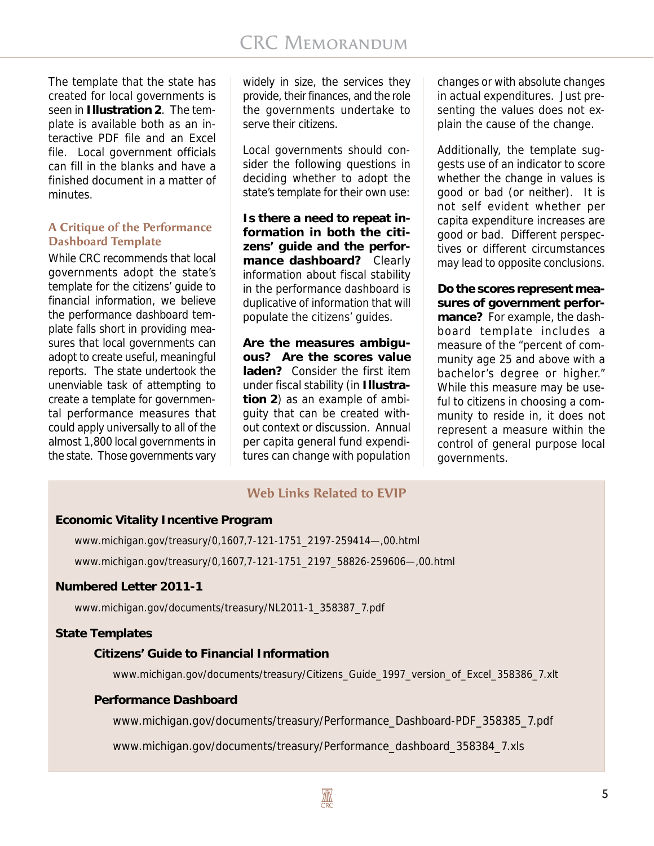The template that the state has created for local governments is seen in **Illustration 2**. The template is available both as an interactive PDF file and an Excel file. Local government officials can fill in the blanks and have a finished document in a matter of minutes.

#### **A Critique of the Performance Dashboard Template**

While CRC recommends that local governments adopt the state's template for the citizens' guide to financial information, we believe the performance dashboard template falls short in providing measures that local governments can adopt to create useful, meaningful reports. The state undertook the unenviable task of attempting to create a template for governmental performance measures that could apply universally to all of the almost 1,800 local governments in the state. Those governments vary widely in size, the services they provide, their finances, and the role the governments undertake to serve their citizens.

Local governments should consider the following questions in deciding whether to adopt the state's template for their own use:

**Is there a need to repeat information in both the citizens' guide and the performance dashboard?** Clearly information about fiscal stability in the performance dashboard is duplicative of information that will populate the citizens' guides.

**Are the measures ambiguous? Are the scores value laden?** Consider the first item under fiscal stability (in **Illustration 2**) as an example of ambiguity that can be created without context or discussion. Annual per capita general fund expenditures can change with population

changes or with absolute changes in actual expenditures. Just presenting the values does not explain the cause of the change.

Additionally, the template suggests use of an indicator to score whether the change in values is good or bad (or neither). It is not self evident whether per capita expenditure increases are good or bad. Different perspectives or different circumstances may lead to opposite conclusions.

**Do the scores represent measures of government performance?** For example, the dashboard template includes a measure of the "percent of community age 25 and above with a bachelor's degree or higher." While this measure may be useful to citizens in choosing a community to reside in, it does not represent a measure within the control of general purpose local governments.

# **Web Links Related to EVIP**

#### **Economic Vitality Incentive Program**

www.michigan.gov/treasury/0,1607,7-121-1751\_2197-259414—,00.html www.michigan.gov/treasury/0,1607,7-121-1751\_2197\_58826-259606—,00.html

#### **Numbered Letter 2011-1**

www.michigan.gov/documents/treasury/NL2011-1\_358387\_7.pdf

#### **State Templates**

#### **Citizens' Guide to Financial Information**

www.michigan.gov/documents/treasury/Citizens\_Guide\_1997\_version\_of\_Excel\_358386\_7.xlt

#### **Performance Dashboard**

www.michigan.gov/documents/treasury/Performance\_Dashboard-PDF\_358385\_7.pdf

www.michigan.gov/documents/treasury/Performance\_dashboard\_358384\_7.xls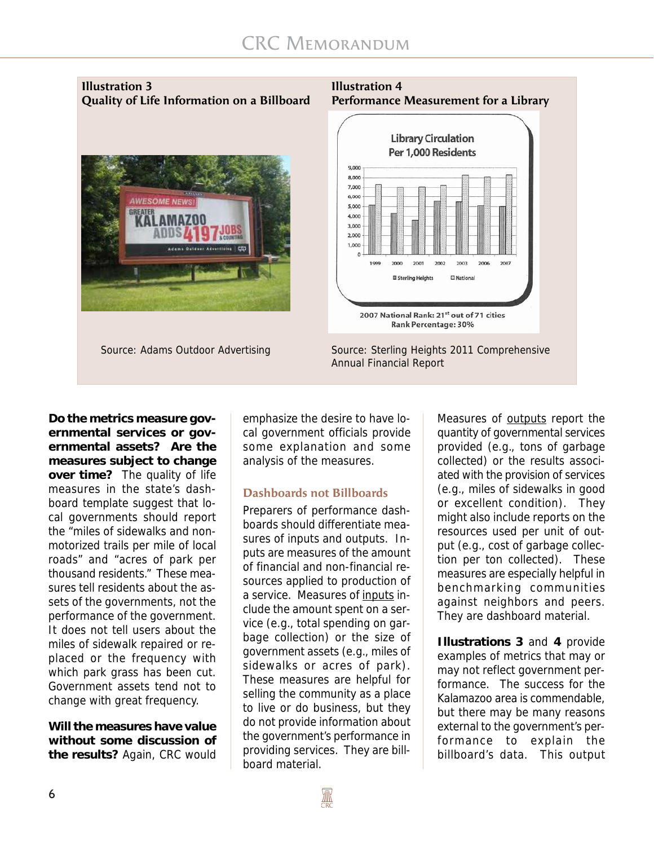# **Illustration 3** Illustration 4





Source: Adams Outdoor Advertising Source: Sterling Heights 2011 Comprehensive Annual Financial Report

**Do the metrics measure governmental services or governmental assets? Are the measures subject to change over time?** The quality of life measures in the state's dashboard template suggest that local governments should report the "miles of sidewalks and nonmotorized trails per mile of local roads" and "acres of park per thousand residents." These measures tell residents about the assets of the governments, not the performance of the government. It does not tell users about the miles of sidewalk repaired or replaced or the frequency with which park grass has been cut. Government assets tend not to change with great frequency.

**Will the measures have value without some discussion of the results?** Again, CRC would emphasize the desire to have local government officials provide some explanation and some analysis of the measures.

#### **Dashboards not Billboards**

Preparers of performance dashboards should differentiate measures of inputs and outputs. Inputs are measures of the amount of financial and non-financial resources applied to production of a service. Measures of inputs include the amount spent on a service (e.g., total spending on garbage collection) or the size of government assets (e.g., miles of sidewalks or acres of park). These measures are helpful for selling the community as a place to live or do business, but they do not provide information about the government's performance in providing services. They are billboard material.

Measures of outputs report the quantity of governmental services provided (e.g., tons of garbage collected) or the results associated with the provision of services (e.g., miles of sidewalks in good or excellent condition). They might also include reports on the resources used per unit of output (e.g., cost of garbage collection per ton collected). These measures are especially helpful in benchmarking communities against neighbors and peers. They are dashboard material.

**Illustrations 3** and **4** provide examples of metrics that may or may not reflect government performance. The success for the Kalamazoo area is commendable, but there may be many reasons external to the government's performance to explain the billboard's data. This output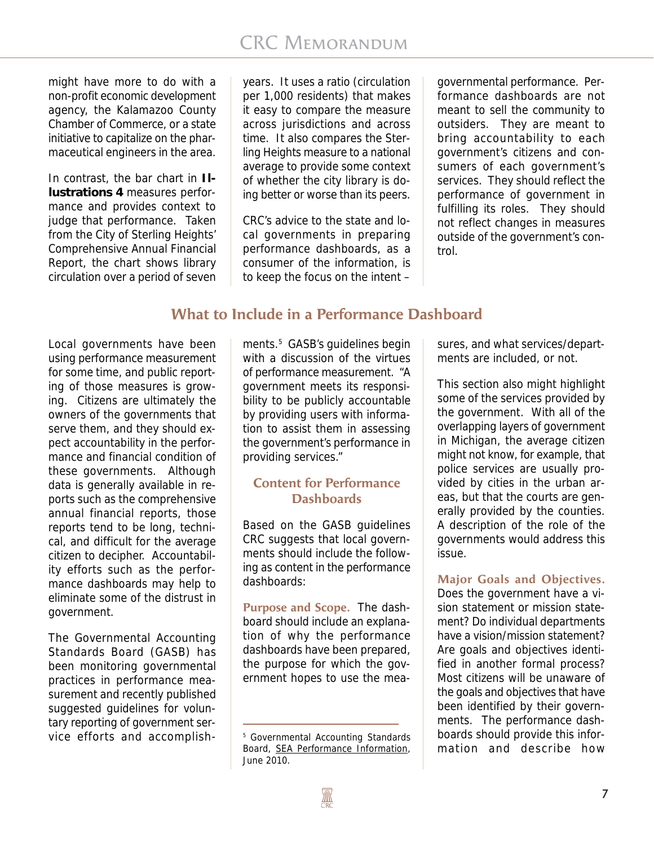might have more to do with a non-profit economic development agency, the Kalamazoo County Chamber of Commerce, or a state initiative to capitalize on the pharmaceutical engineers in the area.

In contrast, the bar chart in **Illustrations 4** measures performance and provides context to judge that performance. Taken from the City of Sterling Heights' Comprehensive Annual Financial Report, the chart shows library circulation over a period of seven years. It uses a ratio (circulation per 1,000 residents) that makes it easy to compare the measure across jurisdictions and across time. It also compares the Sterling Heights measure to a national average to provide some context of whether the city library is doing better or worse than its peers.

CRC's advice to the state and local governments in preparing performance dashboards, as a consumer of the information, is to keep the focus on the intent –

governmental performance. Performance dashboards are not meant to sell the community to outsiders. They are meant to bring accountability to each government's citizens and consumers of each government's services. They should reflect the performance of government in fulfilling its roles. They should not reflect changes in measures outside of the government's control.

# **What to Include in a Performance Dashboard**

Local governments have been using performance measurement for some time, and public reporting of those measures is growing. Citizens are ultimately the owners of the governments that serve them, and they should expect accountability in the performance and financial condition of these governments. Although data is generally available in reports such as the comprehensive annual financial reports, those reports tend to be long, technical, and difficult for the average citizen to decipher. Accountability efforts such as the performance dashboards may help to eliminate some of the distrust in government.

The Governmental Accounting Standards Board (GASB) has been monitoring governmental practices in performance measurement and recently published suggested guidelines for voluntary reporting of government service efforts and accomplish-

ments.<sup>5</sup> GASB's guidelines begin with a discussion of the virtues of performance measurement. "A government meets its responsibility to be publicly accountable by providing users with information to assist them in assessing the government's performance in providing services."

# **Content for Performance Dashboards**

Based on the GASB guidelines CRC suggests that local governments should include the following as content in the performance dashboards:

**Purpose and Scope.** The dashboard should include an explanation of why the performance dashboards have been prepared, the purpose for which the government hopes to use the measures, and what services/departments are included, or not.

This section also might highlight some of the services provided by the government. With all of the overlapping layers of government in Michigan, the average citizen might not know, for example, that police services are usually provided by cities in the urban areas, but that the courts are generally provided by the counties. A description of the role of the governments would address this issue.

#### **Major Goals and Objectives.**

Does the government have a vision statement or mission statement? Do individual departments have a vision/mission statement? Are goals and objectives identified in another formal process? Most citizens will be unaware of the goals and objectives that have been identified by their governments. The performance dashboards should provide this information and describe how

<sup>5</sup> Governmental Accounting Standards Board, SEA Performance Information, June 2010.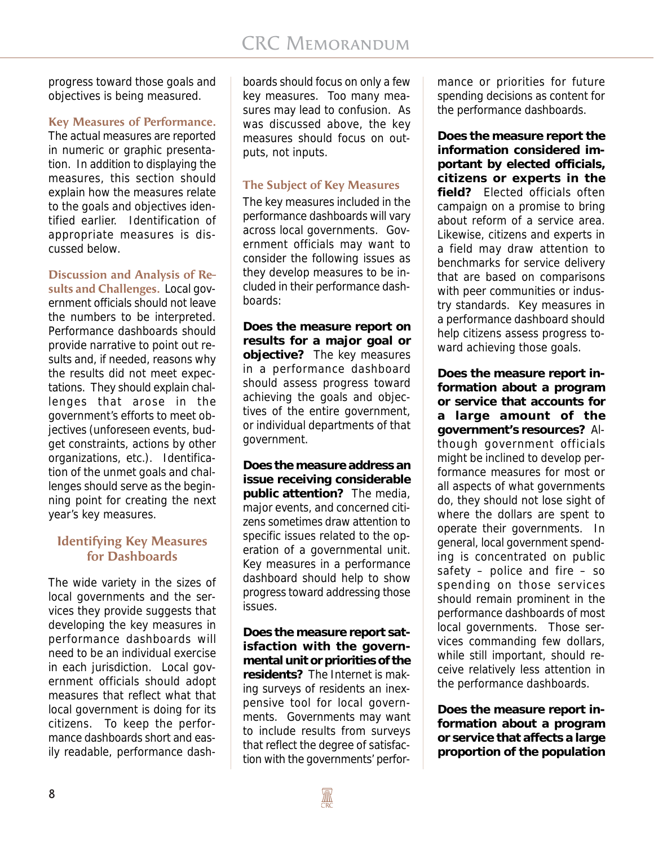progress toward those goals and objectives is being measured.

#### **Key Measures of Performance.**

The actual measures are reported in numeric or graphic presentation. In addition to displaying the measures, this section should explain how the measures relate to the goals and objectives identified earlier. Identification of appropriate measures is discussed below.

#### **Discussion and Analysis of Re-**

**sults and Challenges.** Local government officials should not leave the numbers to be interpreted. Performance dashboards should provide narrative to point out results and, if needed, reasons why the results did not meet expectations. They should explain challenges that arose in the government's efforts to meet objectives (unforeseen events, budget constraints, actions by other organizations, etc.). Identification of the unmet goals and challenges should serve as the beginning point for creating the next year's key measures.

#### **Identifying Key Measures for Dashboards**

The wide variety in the sizes of local governments and the services they provide suggests that developing the key measures in performance dashboards will need to be an individual exercise in each jurisdiction. Local government officials should adopt measures that reflect what that local government is doing for its citizens. To keep the performance dashboards short and easily readable, performance dash-

boards should focus on only a few key measures. Too many measures may lead to confusion. As was discussed above, the key measures should focus on outputs, not inputs.

#### **The Subject of Key Measures**

The key measures included in the performance dashboards will vary across local governments. Government officials may want to consider the following issues as they develop measures to be included in their performance dashboards:

**Does the measure report on results for a major goal or objective?** The key measures in a performance dashboard should assess progress toward achieving the goals and objectives of the entire government, or individual departments of that government.

**Does the measure address an issue receiving considerable public attention?** The media, major events, and concerned citizens sometimes draw attention to specific issues related to the operation of a governmental unit. Key measures in a performance dashboard should help to show progress toward addressing those issues.

**Does the measure report satisfaction with the governmental unit or priorities of the residents?** The Internet is making surveys of residents an inexpensive tool for local governments. Governments may want to include results from surveys that reflect the degree of satisfaction with the governments' performance or priorities for future spending decisions as content for the performance dashboards.

**Does the measure report the information considered important by elected officials, citizens or experts in the field?** Elected officials often campaign on a promise to bring about reform of a service area. Likewise, citizens and experts in a field may draw attention to benchmarks for service delivery that are based on comparisons with peer communities or industry standards. Key measures in a performance dashboard should help citizens assess progress toward achieving those goals.

**Does the measure report information about a program or service that accounts for a large amount of the government's resources?** Although government officials might be inclined to develop performance measures for most or all aspects of what governments do, they should not lose sight of where the dollars are spent to operate their governments. In general, local government spending is concentrated on public safety – police and fire – so spending on those services should remain prominent in the performance dashboards of most local governments. Those services commanding few dollars, while still important, should receive relatively less attention in the performance dashboards.

**Does the measure report information about a program or service that affects a large proportion of the population**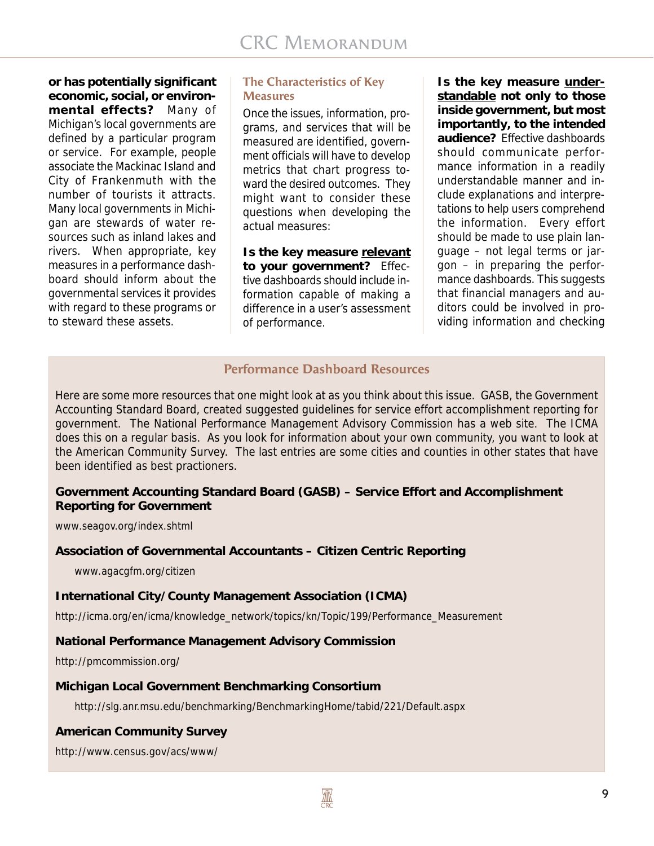**or has potentially significant economic, social, or environmental effects?** Many of Michigan's local governments are defined by a particular program or service. For example, people associate the Mackinac Island and City of Frankenmuth with the number of tourists it attracts. Many local governments in Michigan are stewards of water resources such as inland lakes and rivers. When appropriate, key measures in a performance dashboard should inform about the governmental services it provides with regard to these programs or to steward these assets.

#### **The Characteristics of Key Measures**

Once the issues, information, programs, and services that will be measured are identified, government officials will have to develop metrics that chart progress toward the desired outcomes. They might want to consider these questions when developing the actual measures:

**Is the key measure relevant to your government?** Effective dashboards should include information capable of making a difference in a user's assessment of performance.

**Is the key measure understandable not only to those inside government, but most importantly, to the intended audience?** Effective dashboards should communicate performance information in a readily understandable manner and include explanations and interpretations to help users comprehend the information. Every effort should be made to use plain language – not legal terms or jargon – in preparing the performance dashboards. This suggests that financial managers and auditors could be involved in providing information and checking

# **Performance Dashboard Resources**

Here are some more resources that one might look at as you think about this issue. GASB, the Government Accounting Standard Board, created suggested guidelines for service effort accomplishment reporting for government. The National Performance Management Advisory Commission has a web site. The ICMA does this on a regular basis. As you look for information about your own community, you want to look at the American Community Survey. The last entries are some cities and counties in other states that have been identified as best practioners.

#### **Government Accounting Standard Board (GASB) – Service Effort and Accomplishment Reporting for Government**

www.seagov.org/index.shtml

# **Association of Governmental Accountants – Citizen Centric Reporting**

www.agacgfm.org/citizen

#### **International City/County Management Association (ICMA)**

http://icma.org/en/icma/knowledge\_network/topics/kn/Topic/199/Performance\_Measurement

# **National Performance Management Advisory Commission**

http://pmcommission.org/

# **Michigan Local Government Benchmarking Consortium**

http://slg.anr.msu.edu/benchmarking/BenchmarkingHome/tabid/221/Default.aspx

# **American Community Survey**

http://www.census.gov/acs/www/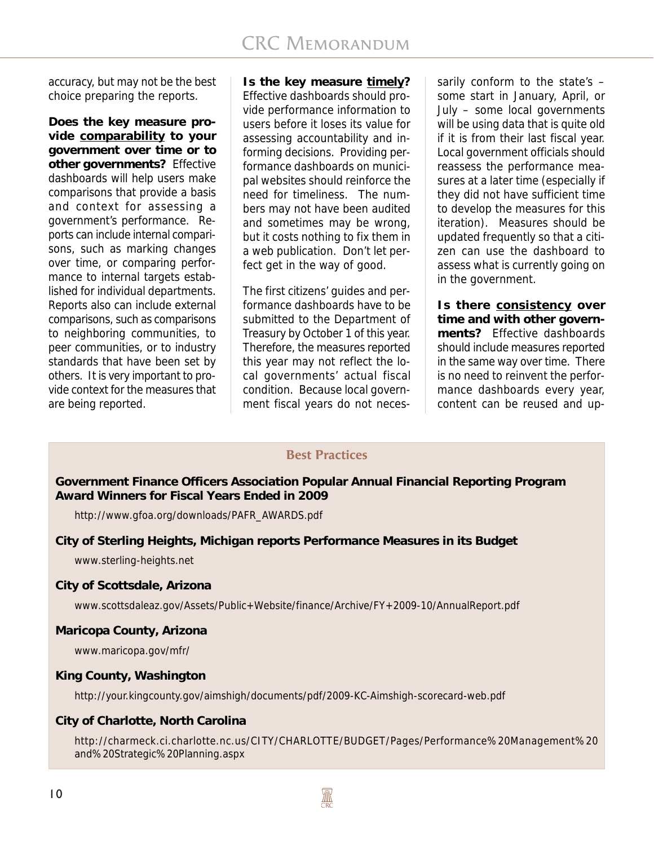accuracy, but may not be the best choice preparing the reports.

**Does the key measure provide comparability to your government over time or to other governments?** Effective dashboards will help users make comparisons that provide a basis and context for assessing a government's performance. Reports can include internal comparisons, such as marking changes over time, or comparing performance to internal targets established for individual departments. Reports also can include external comparisons, such as comparisons to neighboring communities, to peer communities, or to industry standards that have been set by others. It is very important to provide context for the measures that are being reported.

#### **Is the key measure timely?**

Effective dashboards should provide performance information to users before it loses its value for assessing accountability and informing decisions. Providing performance dashboards on municipal websites should reinforce the need for timeliness. The numbers may not have been audited and sometimes may be wrong, but it costs nothing to fix them in a web publication. Don't let perfect get in the way of good.

The first citizens' guides and performance dashboards have to be submitted to the Department of Treasury by October 1 of this year. Therefore, the measures reported this year may not reflect the local governments' actual fiscal condition. Because local government fiscal years do not neces-

sarily conform to the state's – some start in January, April, or July – some local governments will be using data that is quite old if it is from their last fiscal year. Local government officials should reassess the performance measures at a later time (especially if they did not have sufficient time to develop the measures for this iteration). Measures should be updated frequently so that a citizen can use the dashboard to assess what is currently going on in the government.

**Is there consistency over time and with other governments?** Effective dashboards should include measures reported in the same way over time. There is no need to reinvent the performance dashboards every year, content can be reused and up-

# **Best Practices**

**Government Finance Officers Association Popular Annual Financial Reporting Program Award Winners for Fiscal Years Ended in 2009**

http://www.gfoa.org/downloads/PAFR\_AWARDS.pdf

# **City of Sterling Heights, Michigan reports Performance Measures in its Budget**

www.sterling-heights.net

# **City of Scottsdale, Arizona**

www.scottsdaleaz.gov/Assets/Public+Website/finance/Archive/FY+2009-10/AnnualReport.pdf

# **Maricopa County, Arizona**

www.maricopa.gov/mfr/

# **King County, Washington**

http://your.kingcounty.gov/aimshigh/documents/pdf/2009-KC-Aimshigh-scorecard-web.pdf

#### **City of Charlotte, North Carolina**

http://charmeck.ci.charlotte.nc.us/CITY/CHARLOTTE/BUDGET/Pages/Performance%20Management%20 and%20Strategic%20Planning.aspx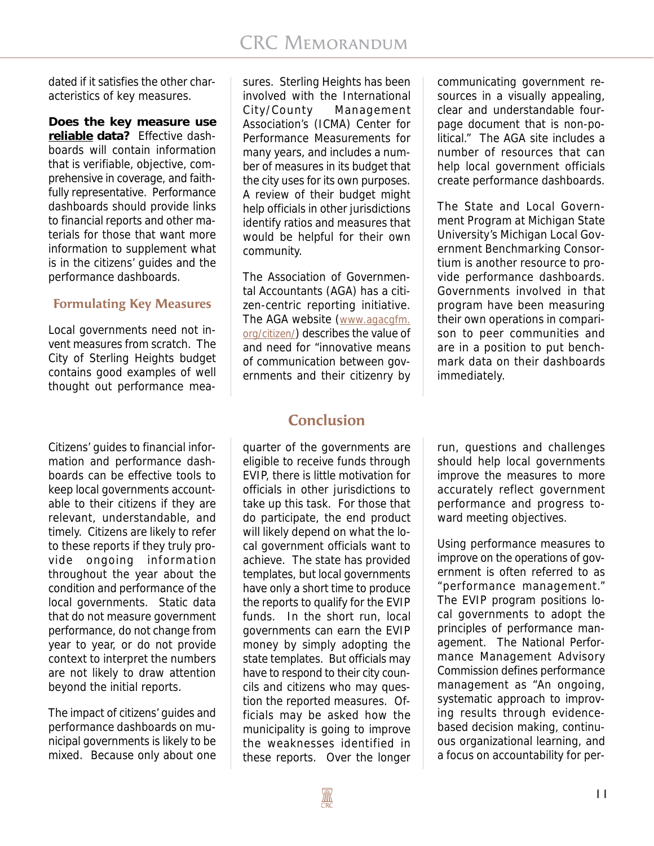dated if it satisfies the other characteristics of key measures.

**Does the key measure use reliable data?** Effective dashboards will contain information that is verifiable, objective, comprehensive in coverage, and faithfully representative. Performance dashboards should provide links to financial reports and other materials for those that want more information to supplement what is in the citizens' guides and the performance dashboards.

# **Formulating Key Measures**

Local governments need not invent measures from scratch. The City of Sterling Heights budget contains good examples of well thought out performance mea-

Citizens' guides to financial information and performance dashboards can be effective tools to keep local governments accountable to their citizens if they are relevant, understandable, and timely. Citizens are likely to refer to these reports if they truly provide ongoing information throughout the year about the condition and performance of the local governments. Static data that do not measure government performance, do not change from year to year, or do not provide context to interpret the numbers are not likely to draw attention beyond the initial reports.

The impact of citizens' guides and performance dashboards on municipal governments is likely to be mixed. Because only about one sures. Sterling Heights has been involved with the International City/County Management Association's (ICMA) Center for Performance Measurements for many years, and includes a number of measures in its budget that the city uses for its own purposes. A review of their budget might help officials in other jurisdictions identify ratios and measures that would be helpful for their own community.

The Association of Governmental Accountants (AGA) has a citizen-centric reporting initiative. The AGA website (www.agacgfm. org/citizen/) describes the value of and need for "innovative means of communication between governments and their citizenry by

# **Conclusion**

quarter of the governments are eligible to receive funds through EVIP, there is little motivation for officials in other jurisdictions to take up this task. For those that do participate, the end product will likely depend on what the local government officials want to achieve. The state has provided templates, but local governments have only a short time to produce the reports to qualify for the EVIP funds. In the short run, local governments can earn the EVIP money by simply adopting the state templates. But officials may have to respond to their city councils and citizens who may question the reported measures. Officials may be asked how the municipality is going to improve the weaknesses identified in these reports. Over the longer

communicating government resources in a visually appealing, clear and understandable fourpage document that is non-political." The AGA site includes a number of resources that can help local government officials create performance dashboards.

The State and Local Government Program at Michigan State University's Michigan Local Government Benchmarking Consortium is another resource to provide performance dashboards. Governments involved in that program have been measuring their own operations in comparison to peer communities and are in a position to put benchmark data on their dashboards immediately.

run, questions and challenges should help local governments improve the measures to more accurately reflect government performance and progress toward meeting objectives.

Using performance measures to improve on the operations of government is often referred to as "performance management." The EVIP program positions local governments to adopt the principles of performance management. The National Performance Management Advisory Commission defines performance management as "An ongoing, systematic approach to improving results through evidencebased decision making, continuous organizational learning, and a focus on accountability for per